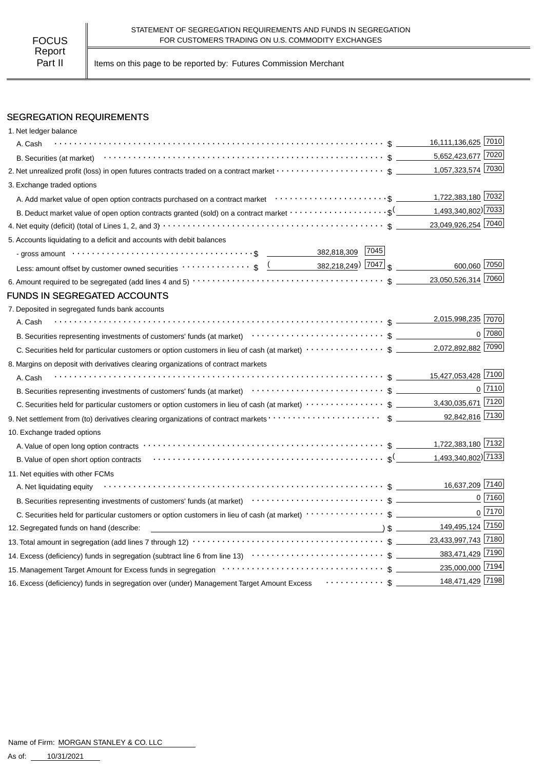Part II | Items on this page to be reported by: Futures Commission Merchant

# SEGREGATION REQUIREMENTS

| 1. Net ledger balance                                                                                                                                                                                                                                            |                       |                     |              |
|------------------------------------------------------------------------------------------------------------------------------------------------------------------------------------------------------------------------------------------------------------------|-----------------------|---------------------|--------------|
| A. Cash                                                                                                                                                                                                                                                          |                       | 16,111,136,625 7010 |              |
|                                                                                                                                                                                                                                                                  |                       | 5,652,423,677 7020  |              |
| 2. Net unrealized profit (loss) in open futures contracts traded on a contract market \$                                                                                                                                                                         |                       | 1,057,323,574 7030  |              |
| 3. Exchange traded options                                                                                                                                                                                                                                       |                       |                     |              |
|                                                                                                                                                                                                                                                                  |                       | 1,722,383,180 7032  |              |
| B. Deduct market value of open option contracts granted (sold) on a contract market $\cdots\cdots\cdots\cdots\cdots\cdots\cdots$ \$ (1,493,340,802) 7033                                                                                                         |                       |                     |              |
|                                                                                                                                                                                                                                                                  |                       | 23,049,926,254 7040 |              |
| 5. Accounts liquidating to a deficit and accounts with debit balances                                                                                                                                                                                            |                       |                     |              |
| - gross amount \bit \\contract \\contract \\contract \\contract \\contract \\contract \\contract \\contract \\contract \\contract \\contract \\contract \\contract \\contract \\contract \\contract \\contract \\contract \\co                                   |                       |                     |              |
| Less: amount offset by customer owned securities $\cdots \cdots \cdots \cdots$ \$ $\underbrace{(2,218,249)}$ $ 7047 $ \$                                                                                                                                         |                       | 600,060 7050        |              |
|                                                                                                                                                                                                                                                                  |                       | 23,050,526,314 7060 |              |
| <b>FUNDS IN SEGREGATED ACCOUNTS</b>                                                                                                                                                                                                                              |                       |                     |              |
| 7. Deposited in segregated funds bank accounts                                                                                                                                                                                                                   |                       |                     |              |
| A. Cash                                                                                                                                                                                                                                                          |                       | 2,015,998,235 7070  |              |
| B. Securities representing investments of customers' funds (at market) (at market) (b) content to securities representing investments of customers' funds (at market) (b) content to content and the securities representing i                                   |                       |                     | $0$ 7080     |
|                                                                                                                                                                                                                                                                  |                       | 2,072,892,882 7090  |              |
| 8. Margins on deposit with derivatives clearing organizations of contract markets                                                                                                                                                                                |                       |                     |              |
| A. Cash                                                                                                                                                                                                                                                          |                       | 15,427,053,428 7100 |              |
| B. Securities representing investments of customers' funds (at market)<br>The market $\frac{1}{2}$ and the current content of customers' funds (at market)<br>$\cdots$ $\cdots$ $\frac{1}{2}$ and $\frac{1}{2}$ and $\frac{1}{2}$ and $\frac{1}{2}$ and $\$      |                       |                     | $0$   $7110$ |
|                                                                                                                                                                                                                                                                  |                       |                     |              |
|                                                                                                                                                                                                                                                                  |                       | 92,842,816 7130     |              |
| 10. Exchange traded options                                                                                                                                                                                                                                      |                       |                     |              |
|                                                                                                                                                                                                                                                                  |                       | 1,722,383,180 7132  |              |
|                                                                                                                                                                                                                                                                  |                       |                     |              |
| 11. Net equities with other FCMs                                                                                                                                                                                                                                 |                       |                     |              |
| A. Net liquidating equity                                                                                                                                                                                                                                        |                       | 16,637,209 7140     |              |
| B. Securities representing investments of customers' funds (at market)<br>and the contract of the contract of the contract of customers' funds (at market)<br>$\cdots$ $\cdots$ $\cdots$ $\cdots$ $\cdots$ $\cdots$ $\cdots$ $\cdots$ $\cdots$ $\cdots$ $\cdots$ |                       |                     | 0 7160       |
| C. Securities held for particular customers or option customers in lieu of cash (at market) ···················\$                                                                                                                                                |                       |                     | $0$   $7170$ |
| 12. Segregated funds on hand (describe:                                                                                                                                                                                                                          | $\sqrt{2}$ $\sqrt{2}$ | 149,495,124 7150    |              |
|                                                                                                                                                                                                                                                                  |                       | 23,433,997,743 7180 |              |
|                                                                                                                                                                                                                                                                  |                       | 383,471,429 7190    |              |
|                                                                                                                                                                                                                                                                  |                       | 235,000,000 7194    |              |
| 16. Excess (deficiency) funds in segregation over (under) Management Target Amount Excess  \$                                                                                                                                                                    |                       | 148,471,429 7198    |              |
|                                                                                                                                                                                                                                                                  |                       |                     |              |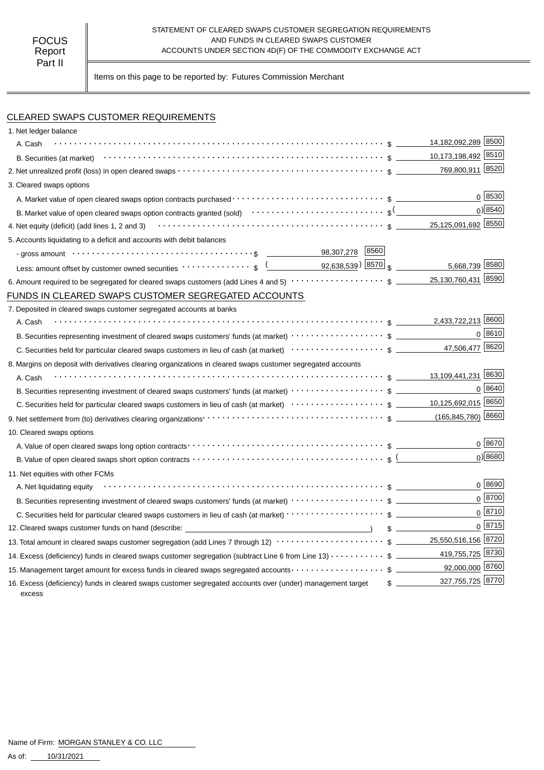#### STATEMENT OF CLEARED SWAPS CUSTOMER SEGREGATION REQUIREMENTS AND FUNDS IN CLEARED SWAPS CUSTOMER ACCOUNTS UNDER SECTION 4D(F) OF THE COMMODITY EXCHANGE ACT

Items on this page to be reported by: Futures Commission Merchant

# CLEARED SWAPS CUSTOMER REQUIREMENTS

| 1. Net ledger balance                                                                                                                                                      |               |                     |            |
|----------------------------------------------------------------------------------------------------------------------------------------------------------------------------|---------------|---------------------|------------|
| A. Cash                                                                                                                                                                    |               | 14,182,092,289 8500 |            |
|                                                                                                                                                                            |               | 10,173,198,492 8510 |            |
|                                                                                                                                                                            |               | 769,800,911 8520    |            |
| 3. Cleared swaps options                                                                                                                                                   |               |                     |            |
|                                                                                                                                                                            |               |                     | 0 8530     |
| B. Market value of open cleared swaps option contracts granted (sold) $\cdots \cdots \cdots \cdots \cdots \cdots \cdots$                                                   |               |                     | 0) 8540    |
|                                                                                                                                                                            |               |                     |            |
| 5. Accounts liquidating to a deficit and accounts with debit balances                                                                                                      |               |                     |            |
| 98,307,278 8560<br>- gross amount $\cdots$ $\cdots$ $\cdots$ $\cdots$ $\cdots$ $\cdots$ $\cdots$ $\cdots$ $\cdots$ $\cdots$ $\cdots$ $\cdots$                              |               |                     |            |
| Less: amount offset by customer owned securities $\cdots \cdots \cdots$ , $\sqrt{2}$ ( $\sqrt{92,638,539}$ ) $\sqrt{8570}$ $\sqrt{3}$                                      |               | 5,668,739 8580      |            |
|                                                                                                                                                                            |               |                     |            |
| FUNDS IN CLEARED SWAPS CUSTOMER SEGREGATED ACCOUNTS                                                                                                                        |               |                     |            |
| 7. Deposited in cleared swaps customer segregated accounts at banks                                                                                                        |               |                     |            |
| A. Cash                                                                                                                                                                    |               | 2,433,722,213 8600  |            |
|                                                                                                                                                                            |               |                     | $0^{8610}$ |
|                                                                                                                                                                            |               | 47,506,477 8620     |            |
| 8. Margins on deposit with derivatives clearing organizations in cleared swaps customer segregated accounts                                                                |               |                     |            |
| A. Cash                                                                                                                                                                    |               |                     |            |
| B. Securities representing investment of cleared swaps customers' funds (at market) $\cdots \cdots \cdots \cdots \cdots$ \$                                                |               |                     | 0   8640   |
|                                                                                                                                                                            |               |                     |            |
| 9. Net settlement from (to) derivatives clearing organizations <b>contained a contain the container of the CO</b> (165,845,780) 8660                                       |               |                     |            |
| 10. Cleared swaps options                                                                                                                                                  |               |                     |            |
|                                                                                                                                                                            |               |                     | $0^{8670}$ |
| B. Value of open cleared swaps short option contracts $\cdots\cdots\cdots\cdots\cdots\cdots\cdots\cdots\cdots\cdots\cdots\cdots$ \$ (                                      |               |                     | 0)8680     |
| 11. Net equities with other FCMs                                                                                                                                           |               |                     |            |
| A. Net liquidating equity                                                                                                                                                  |               |                     | $0^{8690}$ |
| B. Securities representing investment of cleared swaps customers' funds (at market) $\cdots\cdots\cdots\cdots\cdots$ \$                                                    |               |                     | $0^{8700}$ |
|                                                                                                                                                                            |               |                     | $0^{8710}$ |
| 12. Cleared swaps customer funds on hand (describe: ____________________________                                                                                           | $\frac{1}{2}$ |                     | 0 8715     |
| 13. Total amount in cleared swaps customer segregation (add Lines 7 through 12) $\cdots\cdots\cdots\cdots\cdots\cdots\cdots\quad$ \$ ________ 25,550,516,156 $\sqrt{8720}$ |               |                     |            |
| 14. Excess (deficiency) funds in cleared swaps customer segregation (subtract Line 6 from Line 13) \$                                                                      |               | 419,755,725 8730    |            |
| 15. Management target amount for excess funds in cleared swaps segregated accounts $\cdots\cdots\cdots\cdots\cdots\quad$ \$ ____________92,000,000 8760                    |               |                     |            |
| 16. Excess (deficiency) funds in cleared swaps customer segregated accounts over (under) management target<br>excess                                                       | $\frac{1}{2}$ | 327,755,725 8770    |            |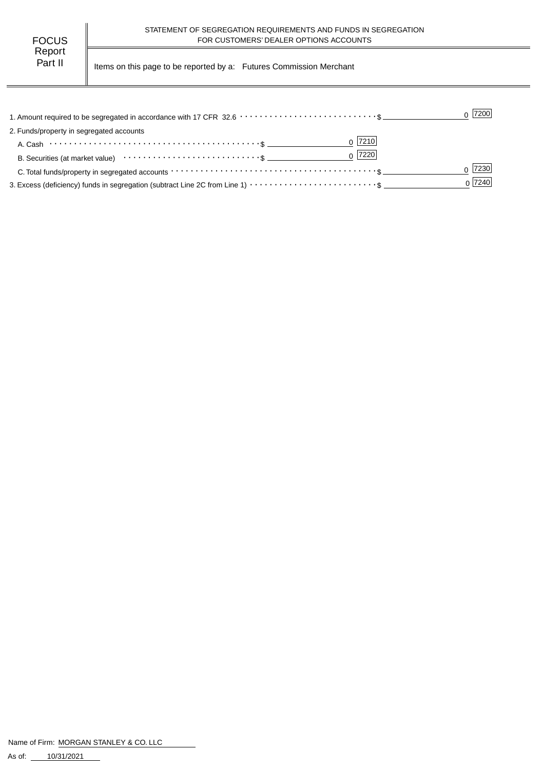Part II | Items on this page to be reported by a: Futures Commission Merchant

|                                                                                                                | $0$  7200 |
|----------------------------------------------------------------------------------------------------------------|-----------|
| 2. Funds/property in segregated accounts                                                                       |           |
| $0$  7210                                                                                                      |           |
| $0$  7220 <br>B. Securities (at market value) $\cdots \cdots \cdots \cdots \cdots \cdots \cdots \cdots \cdots$ |           |
|                                                                                                                | 7230      |
|                                                                                                                | 0 7240    |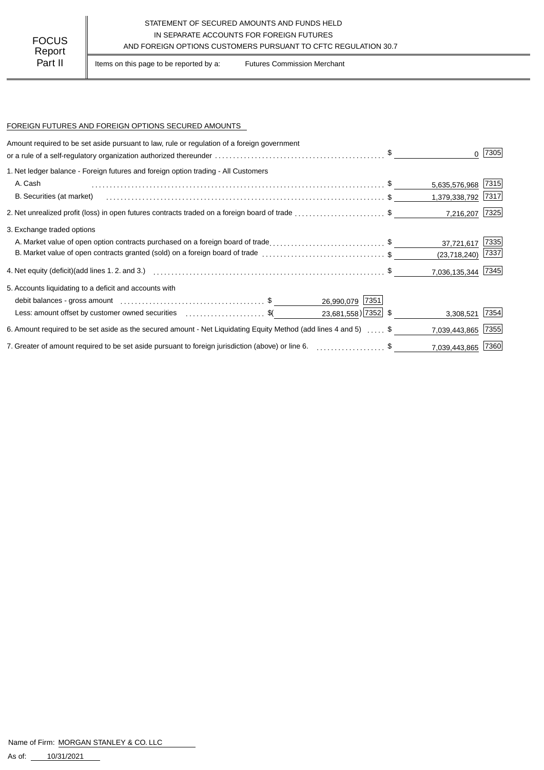## STATEMENT OF SECURED AMOUNTS AND FUNDS HELD IN SEPARATE ACCOUNTS FOR FOREIGN FUTURES AND FOREIGN OPTIONS CUSTOMERS PURSUANT TO CFTC REGULATION 30.7

Part II | Items on this page to be reported by a: Futures Commission Merchant

### FOREIGN FUTURES AND FOREIGN OPTIONS SECURED AMOUNTS

| Amount required to be set aside pursuant to law, rule or regulation of a foreign government                       |                     |      |
|-------------------------------------------------------------------------------------------------------------------|---------------------|------|
|                                                                                                                   |                     | 7305 |
| 1. Net ledger balance - Foreign futures and foreign option trading - All Customers                                |                     |      |
| A. Cash                                                                                                           | 5,635,576,968 7315  |      |
| B. Securities (at market)                                                                                         | 1,379,338,792 7317  |      |
| 2. Net unrealized profit (loss) in open futures contracts traded on a foreign board of trade \$                   | 7,216,207 7325      |      |
| 3. Exchange traded options                                                                                        |                     |      |
| A. Market value of open option contracts purchased on a foreign board of trade\$                                  | 37,721,617          | 7335 |
| B. Market value of open contracts granted (sold) on a foreign board of trade \$                                   | $(23,718,240)$ 7337 |      |
|                                                                                                                   | 7,036,135,344 7345  |      |
| 5. Accounts liquidating to a deficit and accounts with                                                            |                     |      |
| 26,990,079 7351                                                                                                   |                     |      |
| 23,681,558) 7352 \$<br>Less: amount offset by customer owned securities \$ (\$                                    | 3,308,521           | 7354 |
| 6. Amount required to be set aside as the secured amount - Net Liquidating Equity Method (add lines 4 and 5) , \$ | 7,039,443,865       | 7355 |
| 7. Greater of amount required to be set aside pursuant to foreign jurisdiction (above) or line 6. \$              | 7,039,443,865 7360  |      |